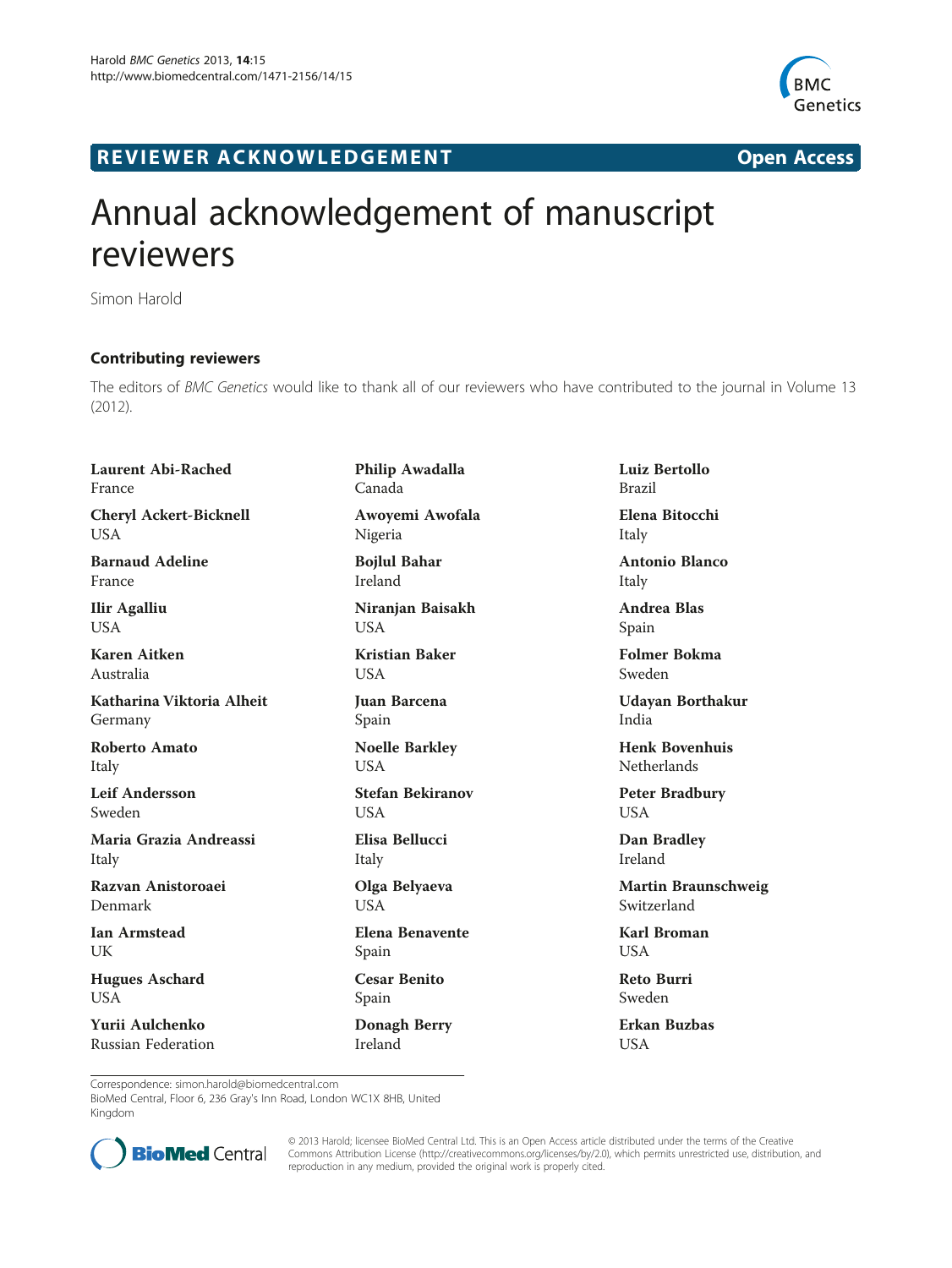

## R EVI EW E R ACKNOW L EDG EM EN T Open Access

## Annual acknowledgement of manuscript reviewers

Simon Harold

## Contributing reviewers

The editors of BMC Genetics would like to thank all of our reviewers who have contributed to the journal in Volume 13 (2012).

Laurent Abi-Rached France

Cheryl Ackert-Bicknell **USA** 

Barnaud Adeline France

Ilir Agalliu USA

Karen Aitken Australia

Katharina Viktoria Alheit Germany

Roberto Amato Italy

Leif Andersson Sweden

Maria Grazia Andreassi Italy

Razvan Anistoroaei Denmark

Ian Armstead UK

Hugues Aschard USA

Yurii Aulchenko Russian Federation Philip Awadalla Canada Awoyemi Awofala Nigeria

Bojlul Bahar Ireland

Niranjan Baisakh USA

Kristian Baker **USA** 

Juan Barcena Spain

Noelle Barkley USA

Stefan Bekiranov USA

Elisa Bellucci Italy

Olga Belyaeva USA

Elena Benavente Spain

Cesar Benito Spain

Donagh Berry Ireland

Luiz Bertollo Brazil Elena Bitocchi Italy

Antonio Blanco Italy

Andrea Blas Spain

Folmer Bokma Sweden

Udayan Borthakur India

Henk Bovenhuis Netherlands

Peter Bradbury USA

Dan Bradley Ireland

Martin Braunschweig Switzerland

Karl Broman **USA** 

Reto Burri Sweden

Erkan Buzbas USA

Correspondence: simon.harold@biomedcentral.com

BioMed Central, Floor 6, 236 Gray's Inn Road, London WC1X 8HB, United Kingdom



© 2013 Harold; licensee BioMed Central Ltd. This is an Open Access article distributed under the terms of the Creative Commons Attribution License [\(http://creativecommons.org/licenses/by/2.0\)](http://creativecommons.org/licenses/by/2.0), which permits unrestricted use, distribution, and reproduction in any medium, provided the original work is properly cited.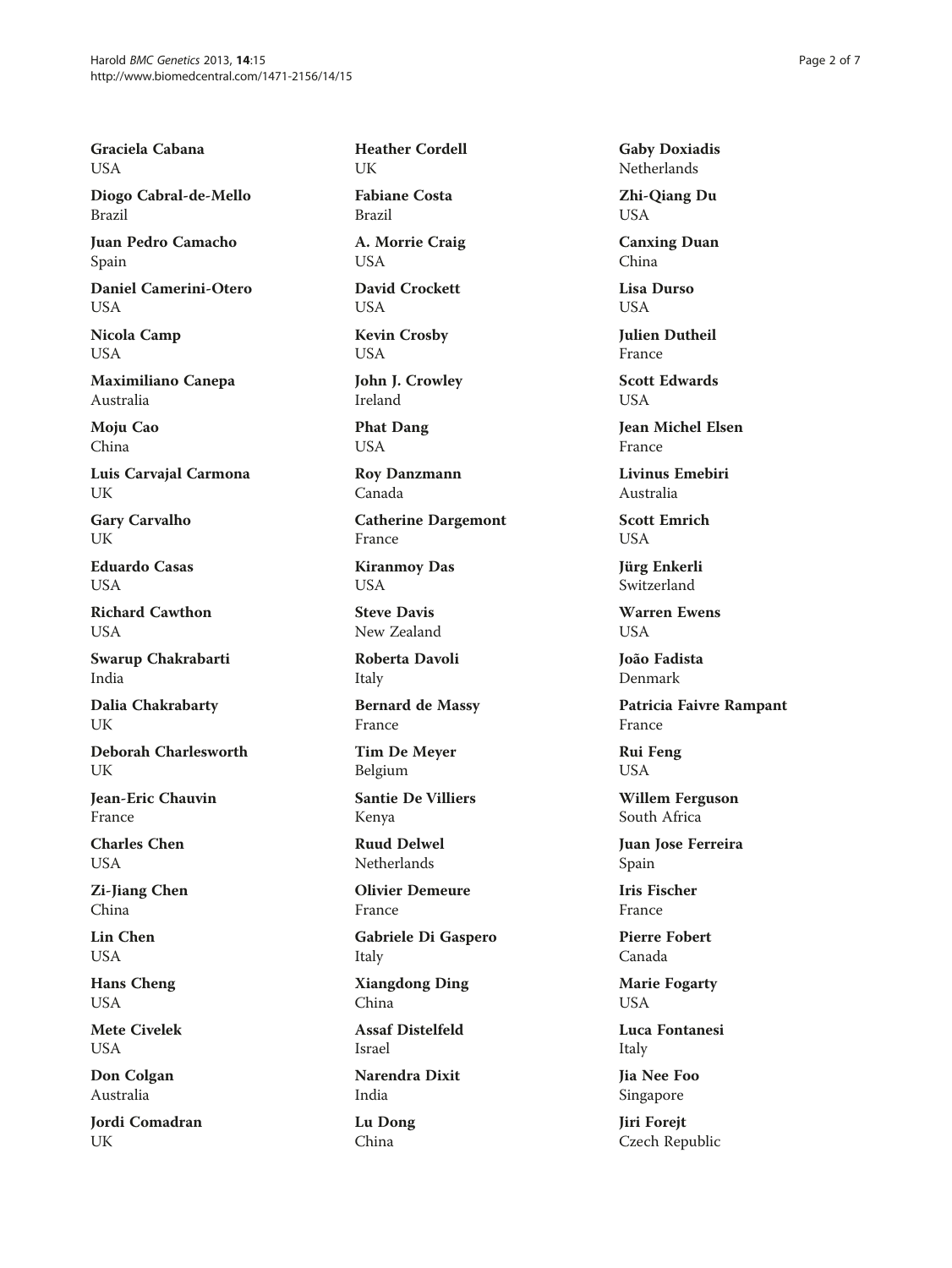Graciela Cabana USA

Diogo Cabral-de-Mello Brazil

Juan Pedro Camacho Spain

Daniel Camerini-Otero USA

Nicola Camp USA

Maximiliano Canepa Australia

Moju Cao China

Luis Carvajal Carmona UK

Gary Carvalho UK

Eduardo Casas **USA** 

Richard Cawthon USA

Swarup Chakrabarti India

Dalia Chakrabarty UK

Deborah Charlesworth UK

Jean-Eric Chauvin France

Charles Chen USA

Zi-Jiang Chen China

Lin Chen USA

Hans Cheng USA

Mete Civelek USA

Don Colgan Australia

Jordi Comadran UK

Heather Cordell UK

Fabiane Costa Brazil

A. Morrie Craig **USA** 

David Crockett USA

Kevin Crosby USA

John J. Crowley Ireland

Phat Dang USA

Roy Danzmann Canada

Catherine Dargemont France

Kiranmoy Das USA

Steve Davis New Zealand

Roberta Davoli Italy

Bernard de Massy France

Tim De Meyer Belgium

Santie De Villiers Kenya

Ruud Delwel Netherlands

Olivier Demeure France

Gabriele Di Gaspero Italy

Xiangdong Ding China

Assaf Distelfeld Israel

Narendra Dixit India

Lu Dong China

Gaby Doxiadis Netherlands

Zhi-Qiang Du USA

Canxing Duan China

Lisa Durso USA

Julien Dutheil France

Scott Edwards **USA** 

Jean Michel Elsen France

Livinus Emebiri Australia

Scott Emrich USA

Jürg Enkerli Switzerland

Warren Ewens **USA** 

João Fadista Denmark

Patricia Faivre Rampant France

Rui Feng USA

Willem Ferguson South Africa

Juan Jose Ferreira Spain

Iris Fischer France

Pierre Fobert Canada

Marie Fogarty USA

Luca Fontanesi Italy

Jia Nee Foo Singapore

Jiri Forejt Czech Republic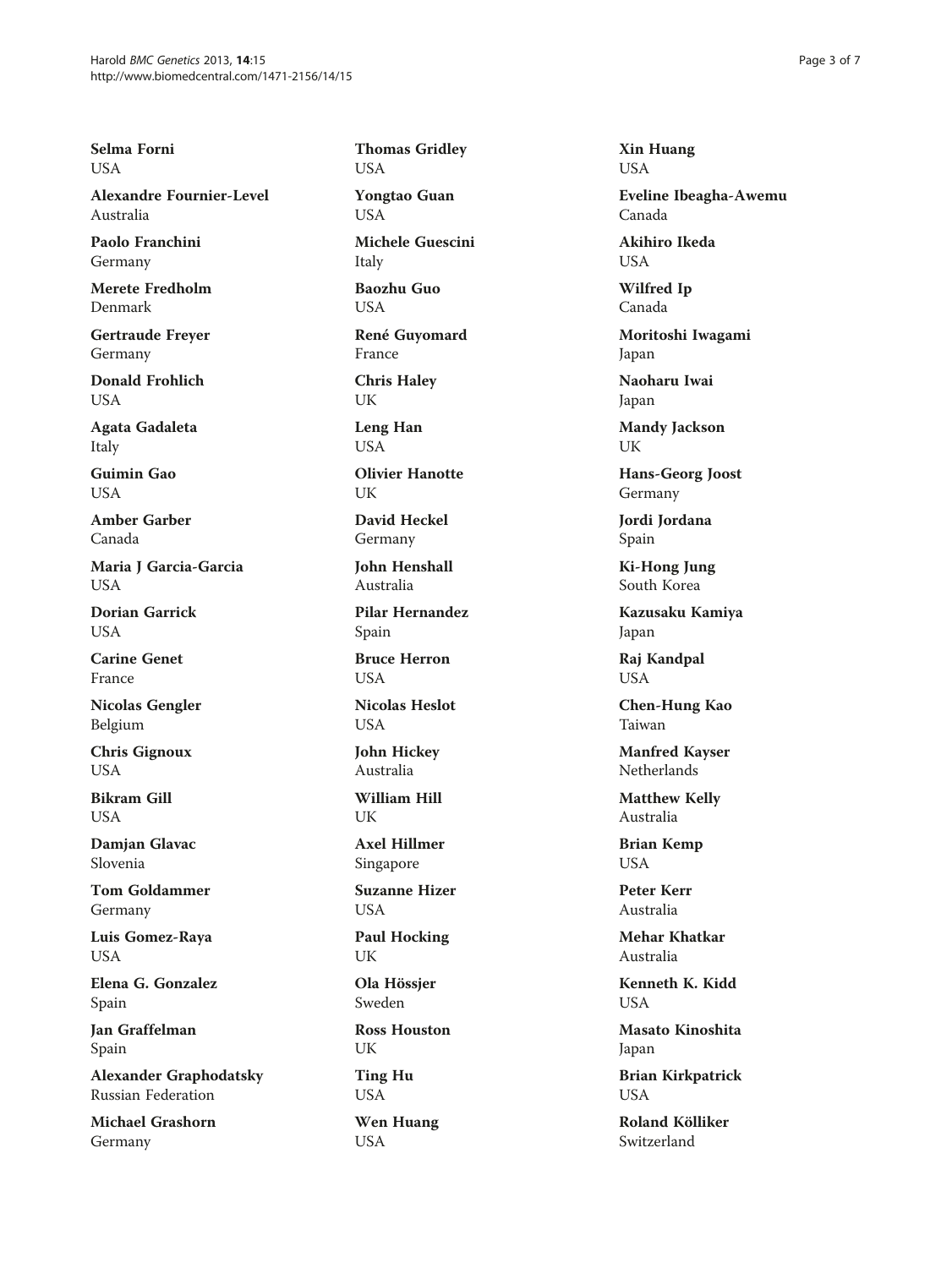Selma Forni USA

Alexandre Fournier-Level Australia

Paolo Franchini Germany

Merete Fredholm Denmark

Gertraude Freyer Germany

Donald Frohlich USA

Agata Gadaleta Italy

Guimin Gao **USA** 

Amber Garber Canada

Maria J Garcia-Garcia **USA** 

Dorian Garrick **USA** 

Carine Genet France

Nicolas Gengler Belgium

Chris Gignoux **USA** 

Bikram Gill **USA** 

Damjan Glavac Slovenia

Tom Goldammer Germany

Luis Gomez-Raya USA

Elena G. Gonzalez Spain

Jan Graffelman Spain

Alexander Graphodatsky Russian Federation

Michael Grashorn Germany

Thomas Gridley USA

Yongtao Guan USA

Michele Guescini Italy

Baozhu Guo USA

René Guyomard France

Chris Haley UK

Leng Han USA

Olivier Hanotte UK

David Heckel Germany

John Henshall Australia

Pilar Hernandez Spain

Bruce Herron **USA** 

Nicolas Heslot **USA** 

John Hickey Australia

William Hill UK

Axel Hillmer Singapore

Suzanne Hizer USA

Paul Hocking UK

Ola Hössjer Sweden

Ross Houston UK

Ting Hu USA

Wen Huang USA

Xin Huang USA

Eveline Ibeagha-Awemu Canada

Akihiro Ikeda **USA** 

Wilfred Ip Canada

Moritoshi Iwagami Japan

Naoharu Iwai Japan

Mandy Jackson UK

Hans-Georg Joost Germany

Jordi Jordana Spain

Ki-Hong Jung South Korea

Kazusaku Kamiya Japan

Raj Kandpal USA

Chen-Hung Kao Taiwan

Manfred Kayser **Netherlands** 

Matthew Kelly Australia

Brian Kemp USA

Peter Kerr Australia

Mehar Khatkar Australia

Kenneth K. Kidd USA

Masato Kinoshita Japan

Brian Kirkpatrick USA

Roland Kölliker Switzerland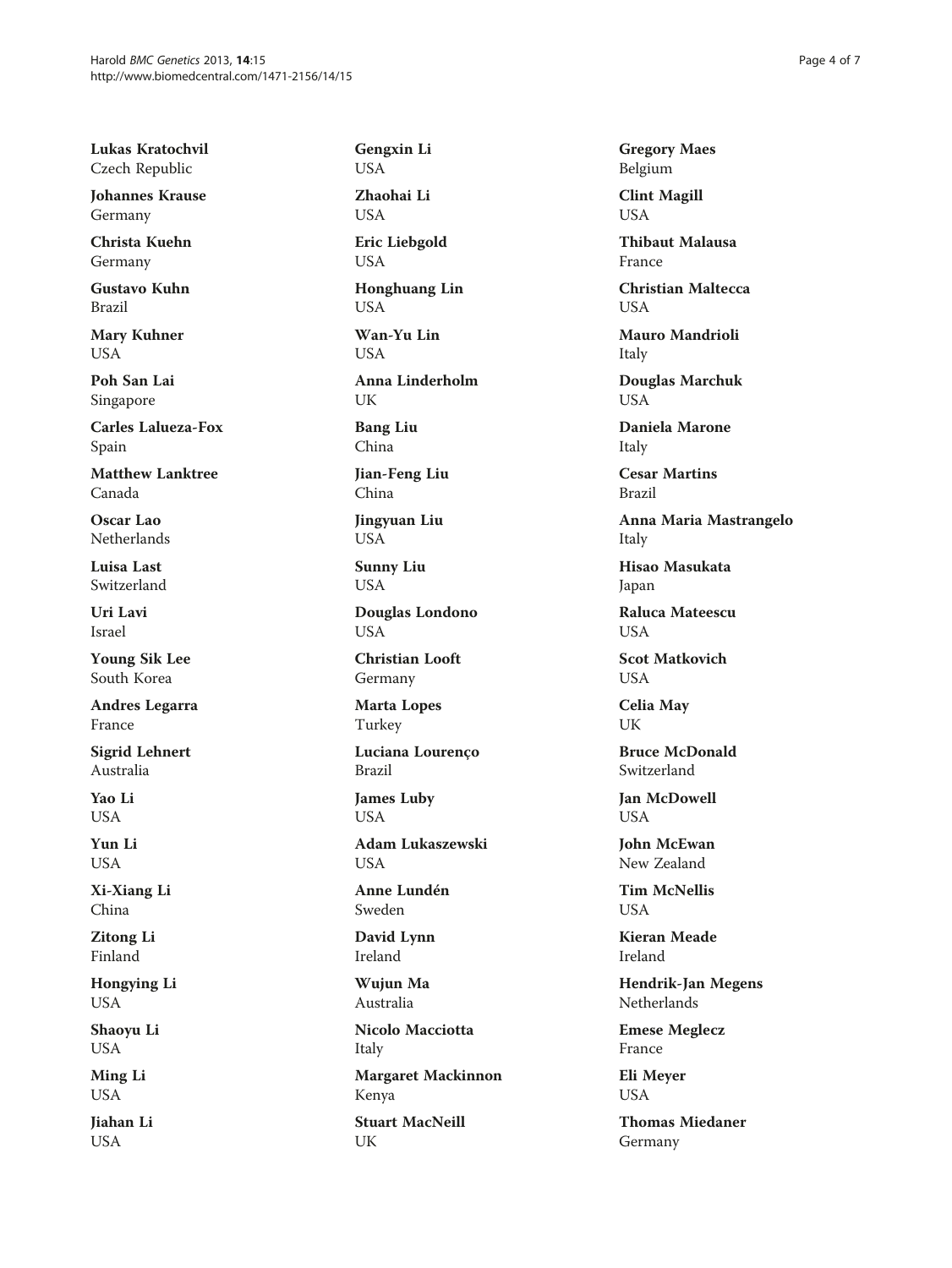Lukas Kratochvil Czech Republic

Johannes Krause Germany

Christa Kuehn Germany

Gustavo Kuhn Brazil

Mary Kuhner USA

Poh San Lai Singapore

Carles Lalueza-Fox Spain

Matthew Lanktree Canada

Oscar Lao Netherlands

Luisa Last Switzerland

Uri Lavi Israel

Young Sik Lee South Korea

Andres Legarra France

Sigrid Lehnert Australia

Yao Li **USA** 

Yun Li USA

Xi-Xiang Li China

Zitong Li Finland

Hongying Li USA

Shaoyu Li USA

Ming Li USA

Jiahan Li USA

Gengxin Li USA

Zhaohai Li USA

Eric Liebgold USA

Honghuang Lin USA

Wan-Yu Lin **USA** 

Anna Linderholm UK

Bang Liu China

Jian-Feng Liu China

Jingyuan Liu USA

Sunny Liu USA

Douglas Londono **USA** 

Christian Looft Germany

Marta Lopes Turkey

Luciana Lourenço Brazil

James Luby USA

Adam Lukaszewski USA

Anne Lundén Sweden

David Lynn Ireland

Wujun Ma Australia

Nicolo Macciotta Italy

Margaret Mackinnon Kenya

Stuart MacNeill UK

Gregory Maes Belgium

Clint Magill USA

Thibaut Malausa France

Christian Maltecca USA

Mauro Mandrioli Italy

Douglas Marchuk USA

Daniela Marone Italy

Cesar Martins Brazil

Anna Maria Mastrangelo Italy

Hisao Masukata Japan

Raluca Mateescu **USA** 

Scot Matkovich **USA** 

Celia May UK

Bruce McDonald Switzerland

Jan McDowell **USA** 

John McEwan New Zealand

Tim McNellis **USA** 

Kieran Meade Ireland

Hendrik-Jan Megens Netherlands

Emese Meglecz France

Eli Meyer USA

Thomas Miedaner Germany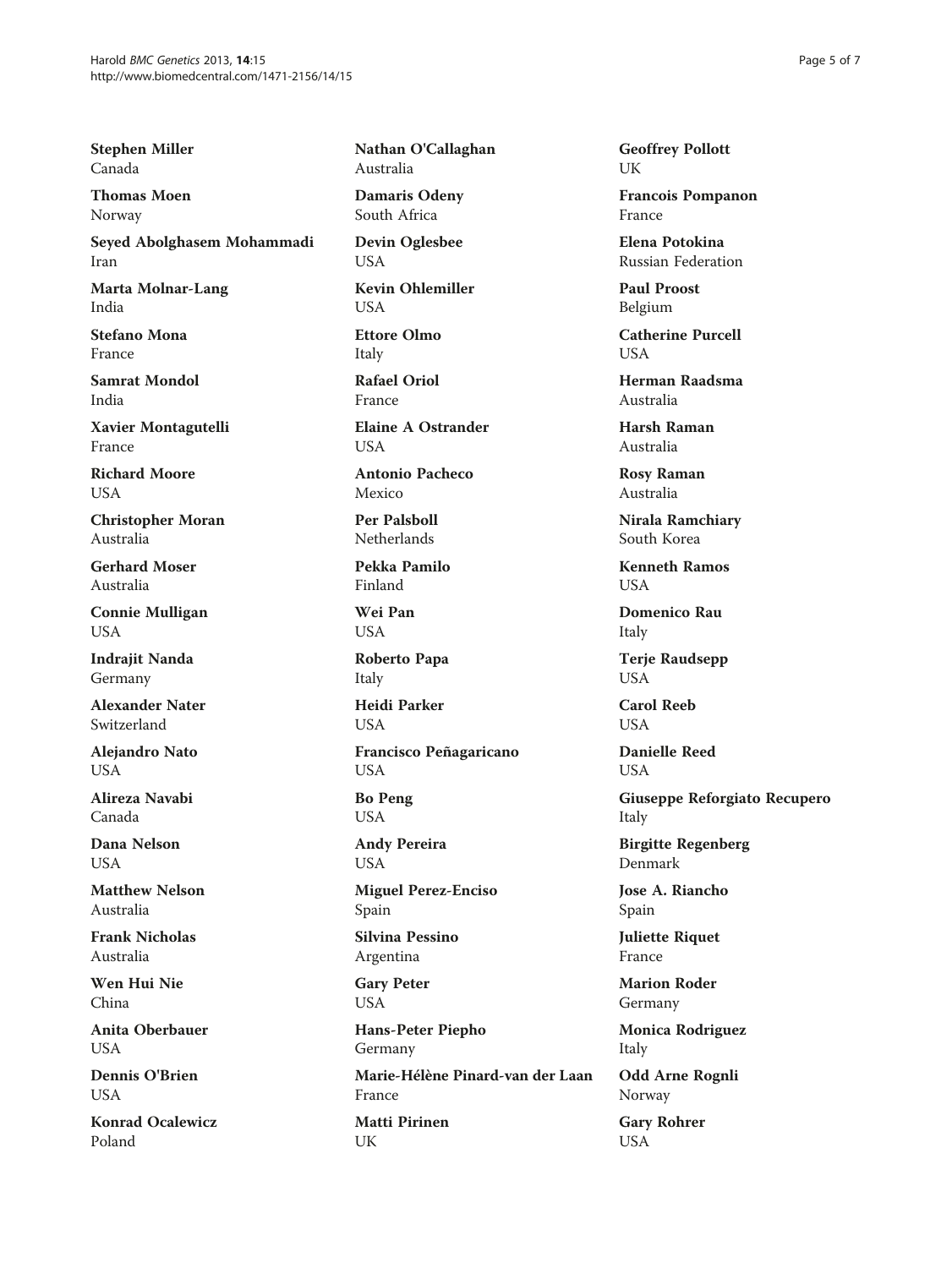Stephen Miller Canada

Thomas Moen Norway

Seyed Abolghasem Mohammadi Iran

Marta Molnar-Lang India

Stefano Mona France

Samrat Mondol India

Xavier Montagutelli France

Richard Moore USA

Christopher Moran Australia

Gerhard Moser Australia

Connie Mulligan USA

Indraiit Nanda Germany

Alexander Nater Switzerland

Alejandro Nato **USA** 

Alireza Navabi Canada

Dana Nelson USA

Matthew Nelson Australia

Frank Nicholas Australia

Wen Hui Nie China

Anita Oberbauer **USA** 

Dennis O'Brien **USA** 

Konrad Ocalewicz Poland

Nathan O'Callaghan Australia

Damaris Odeny South Africa

Devin Oglesbee **USA** 

Kevin Ohlemiller USA

Ettore Olmo Italy

Rafael Oriol France

Elaine A Ostrander **USA** 

Antonio Pacheco Mexico

Per Palsboll Netherlands

Pekka Pamilo Finland

Wei Pan USA

Roberto Papa Italy

Heidi Parker **USA** 

Francisco Peñagaricano USA

Bo Peng USA

Andy Pereira USA

Miguel Perez-Enciso Spain

Silvina Pessino Argentina

Gary Peter USA

Hans-Peter Piepho Germany Marie-Hélène Pinard-van der Laan France Matti Pirinen UK

Geoffrey Pollott UK

Francois Pompanon France

Elena Potokina Russian Federation

Paul Proost Belgium

Catherine Purcell  $I$   $I$  $S$  $\Delta$ 

Herman Raadsma Australia

Harsh Raman Australia

Rosy Raman Australia

Nirala Ramchiary South Korea

Kenneth Ramos **USA** 

Domenico Rau Italy

Terje Raudsepp USA

Carol Reeb **USA** 

Danielle Reed USA

Giuseppe Reforgiato Recupero Italy

Birgitte Regenberg Denmark

Jose A. Riancho Spain

Juliette Riquet France

Marion Roder Germany

Monica Rodriguez Italy

Odd Arne Rognli Norway

Gary Rohrer USA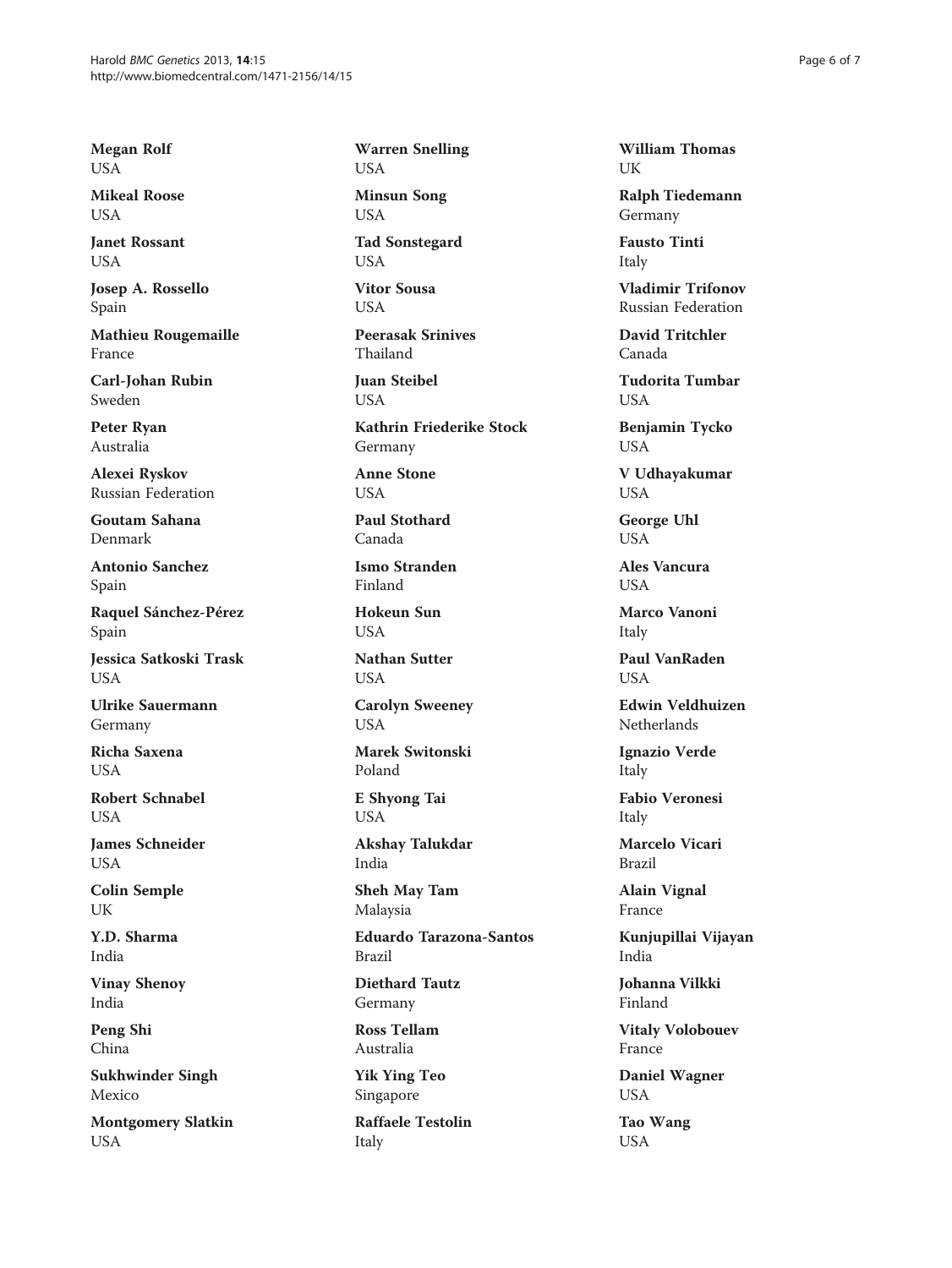Megan Rolf USA

Mikeal Roose USA

Janet Rossant **USA** 

Josep A. Rossello Spain

Mathieu Rougemaille France

Carl-Johan Rubin Sweden

Peter Ryan Australia

Alexei Ryskov Russian Federation

Goutam Sahana Denmark

Antonio Sanchez Spain

Raquel Sánchez-Pérez Spain

Jessica Satkoski Trask **USA** 

Ulrike Sauermann Germany

Richa Saxena **USA** 

Robert Schnabel **USA** 

James Schneider USA

Colin Semple UK

Y.D. Sharma India

Vinay Shenoy India

Peng Shi China

Sukhwinder Singh Mexico

Montgomery Slatkin USA

Warren Snelling USA

Minsun Song USA

Tad Sonstegard **USA** 

Vitor Sousa USA

Peerasak Srinives Thailand

Juan Steibel **USA** 

Kathrin Friederike Stock Germany

Anne Stone USA

Paul Stothard Canada

Ismo Stranden Finland

Hokeun Sun **USA** 

Nathan Sutter **USA** 

Carolyn Sweeney **USA** 

Marek Switonski Poland

E Shyong Tai USA

Akshay Talukdar India

Sheh May Tam Malaysia

Eduardo Tarazona-Santos Brazil

Diethard Tautz Germany

Ross Tellam Australia

Yik Ying Teo Singapore

Raffaele Testolin Italy

William Thomas UK

Ralph Tiedemann Germany

Fausto Tinti Italy

Vladimir Trifonov Russian Federation

David Tritchler Canada

Tudorita Tumbar USA

Benjamin Tycko USA

V Udhayakumar USA

George Uhl USA

Ales Vancura **USA** 

Marco Vanoni Italy

Paul VanRaden **USA** 

Edwin Veldhuizen Netherlands

Ignazio Verde Italy

Fabio Veronesi Italy

Marcelo Vicari Brazil

Alain Vignal France

Kunjupillai Vijayan India

Johanna Vilkki Finland

Vitaly Volobouev France

Daniel Wagner USA

Tao Wang USA